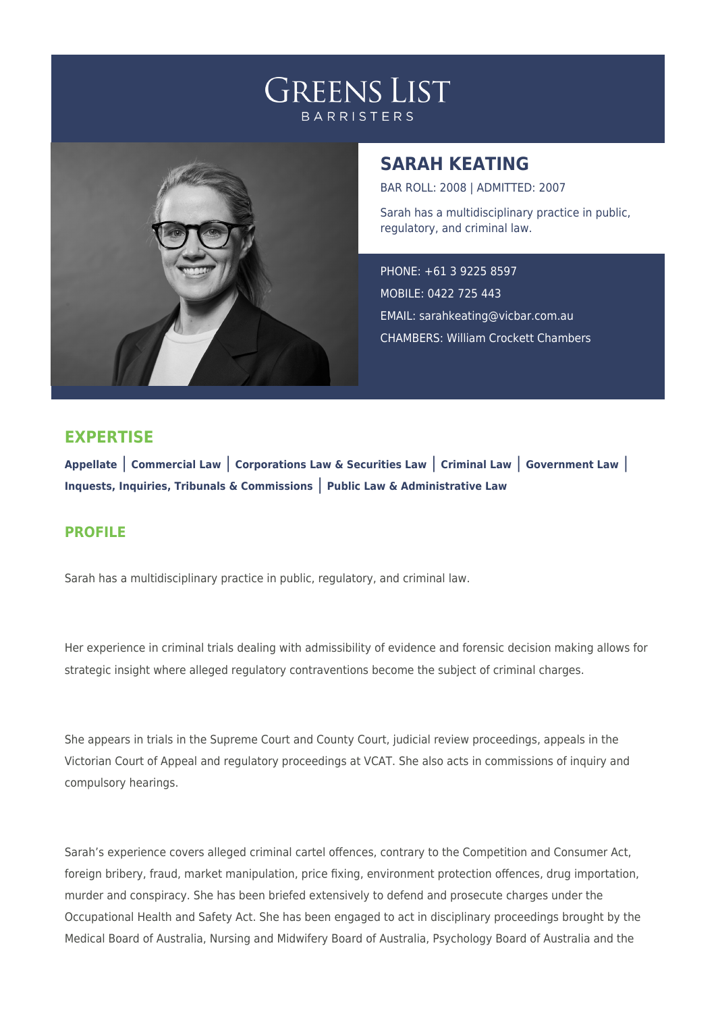# **GREENS LIST BARRISTERS**



## **SARAH KEATING**

BAR ROLL: 2008 | ADMITTED: 2007 Sarah has a multidisciplinary practice in public, regulatory, and criminal law.

PHONE: +61 3 9225 8597 MOBILE: 0422 725 443 EMAIL: [sarahkeating@vicbar.com.au](mailto:sarahkeating@vicbar.com.au) CHAMBERS: William Crockett Chambers

### **EXPERTISE**

**Appellate** | **Commercial Law** | **Corporations Law & Securities Law** | **Criminal Law** | **Government Law** | **Inquests, Inquiries, Tribunals & Commissions** | **Public Law & Administrative Law**

#### **PROFILE**

Sarah has a multidisciplinary practice in public, regulatory, and criminal law.

Her experience in criminal trials dealing with admissibility of evidence and forensic decision making allows for strategic insight where alleged regulatory contraventions become the subject of criminal charges.

She appears in trials in the Supreme Court and County Court, judicial review proceedings, appeals in the Victorian Court of Appeal and regulatory proceedings at VCAT. She also acts in commissions of inquiry and compulsory hearings.

Sarah's experience covers alleged criminal cartel offences, contrary to the Competition and Consumer Act, foreign bribery, fraud, market manipulation, price fixing, environment protection offences, drug importation, murder and conspiracy. She has been briefed extensively to defend and prosecute charges under the Occupational Health and Safety Act. She has been engaged to act in disciplinary proceedings brought by the Medical Board of Australia, Nursing and Midwifery Board of Australia, Psychology Board of Australia and the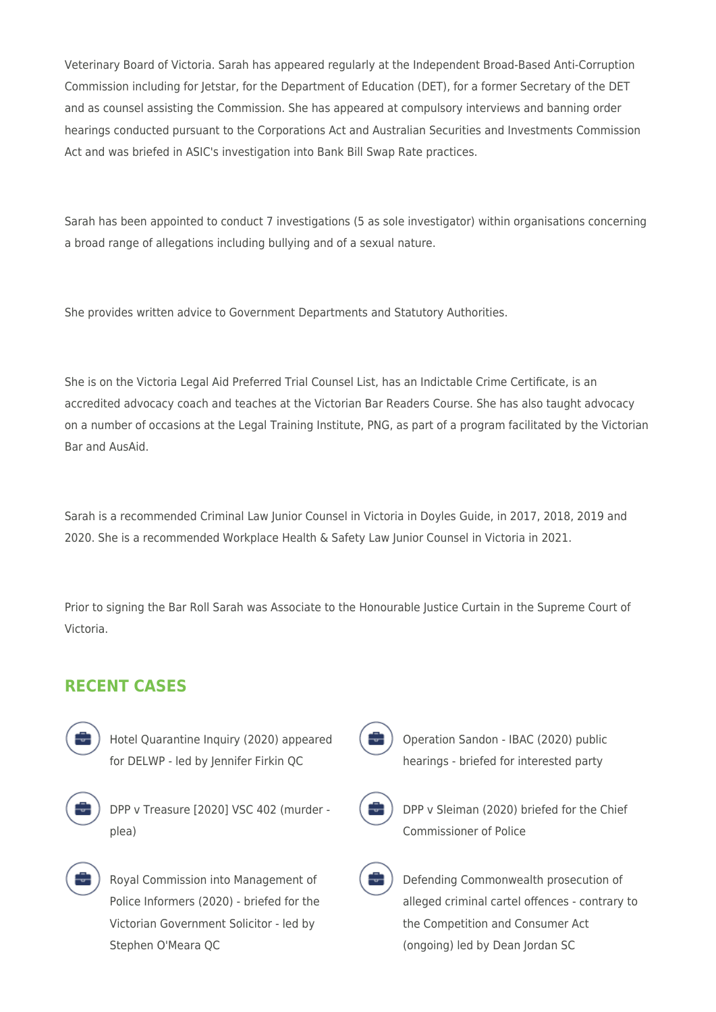Veterinary Board of Victoria. Sarah has appeared regularly at the Independent Broad-Based Anti-Corruption Commission including for Jetstar, for the Department of Education (DET), for a former Secretary of the DET and as counsel assisting the Commission. She has appeared at compulsory interviews and banning order hearings conducted pursuant to the Corporations Act and Australian Securities and Investments Commission Act and was briefed in ASIC's investigation into Bank Bill Swap Rate practices.

Sarah has been appointed to conduct 7 investigations (5 as sole investigator) within organisations concerning a broad range of allegations including bullying and of a sexual nature.

She provides written advice to Government Departments and Statutory Authorities.

She is on the Victoria Legal Aid Preferred Trial Counsel List, has an Indictable Crime Certificate, is an accredited advocacy coach and teaches at the Victorian Bar Readers Course. She has also taught advocacy on a number of occasions at the Legal Training Institute, PNG, as part of a program facilitated by the Victorian Bar and AusAid.

Sarah is a recommended Criminal Law Junior Counsel in Victoria in Doyles Guide, in 2017, 2018, 2019 and 2020. She is a recommended Workplace Health & Safety Law Junior Counsel in Victoria in 2021.

Prior to signing the Bar Roll Sarah was Associate to the Honourable Justice Curtain in the Supreme Court of Victoria.

### **RECENT CASES**



Hotel Quarantine Inquiry (2020) appeared for DELWP - led by Jennifer Firkin QC



DPP v Treasure [2020] VSC 402 (murder plea)



Royal Commission into Management of Police Informers (2020) - briefed for the Victorian Government Solicitor - led by Stephen O'Meara QC



Operation Sandon - IBAC (2020) public hearings - briefed for interested party



DPP v Sleiman (2020) briefed for the Chief Commissioner of Police



Defending Commonwealth prosecution of alleged criminal cartel offences - contrary to the Competition and Consumer Act (ongoing) led by Dean Jordan SC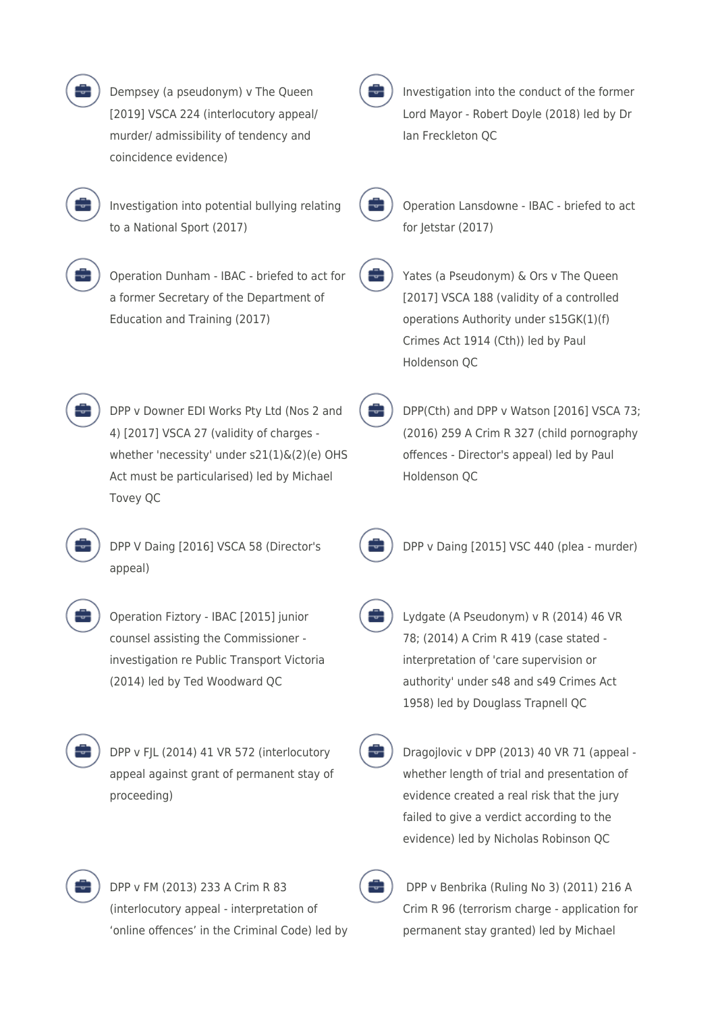| Dempsey (a pseudonym) v The Queen<br>[2019] VSCA 224 (interlocutory appeal/<br>murder/ admissibility of tendency and<br>coincidence evidence)                                                  |  |
|------------------------------------------------------------------------------------------------------------------------------------------------------------------------------------------------|--|
| Investigation into potential bullying relating<br>to a National Sport (2017)                                                                                                                   |  |
| Operation Dunham - IBAC - briefed to act for<br>a former Secretary of the Department of<br>Education and Training (2017)                                                                       |  |
| DPP v Downer EDI Works Pty Ltd (Nos 2 and<br>4) [2017] VSCA 27 (validity of charges -<br>whether 'necessity' under s21(1)&(2)(e) OHS<br>Act must be particularised) led by Michael<br>Tovey QC |  |
| DPP V Daing [2016] VSCA 58 (Director's<br>appeal)                                                                                                                                              |  |
| Operation Fiztory - IBAC [2015] junior<br>counsel assisting the Commissioner -<br>investigation re Public Transport Victoria<br>(2014) led by Ted Woodward QC                                  |  |

DPP v FJL (2014) 41 VR 572 (interlocutory appeal against grant of permanent stay of proceeding)

Investigation into the conduct of the former Lord Mayor - Robert Doyle (2018) led by Dr Ian Freckleton QC



Operation Lansdowne - IBAC - briefed to act for Jetstar (2017)

Yates (a Pseudonym) & Ors v The Queen [2017] VSCA 188 (validity of a controlled operations Authority under s15GK(1)(f) Crimes Act 1914 (Cth)) led by Paul Holdenson QC

DPP(Cth) and DPP v Watson [2016] VSCA 73; (2016) 259 A Crim R 327 (child pornography offences - Director's appeal) led by Paul Holdenson QC



DPP v Daing [2015] VSC 440 (plea - murder)

Lydgate (A Pseudonym) v R (2014) 46 VR 78; (2014) A Crim R 419 (case stated interpretation of 'care supervision or authority' under s48 and s49 Crimes Act 1958) led by Douglass Trapnell QC

Dragojlovic v DPP (2013) 40 VR 71 (appeal whether length of trial and presentation of evidence created a real risk that the jury failed to give a verdict according to the evidence) led by Nicholas Robinson QC



DPP v FM (2013) 233 A Crim R 83 (interlocutory appeal - interpretation of 'online offences' in the Criminal Code) led by

 DPP v Benbrika (Ruling No 3) (2011) 216 A Crim R 96 (terrorism charge - application for permanent stay granted) led by Michael